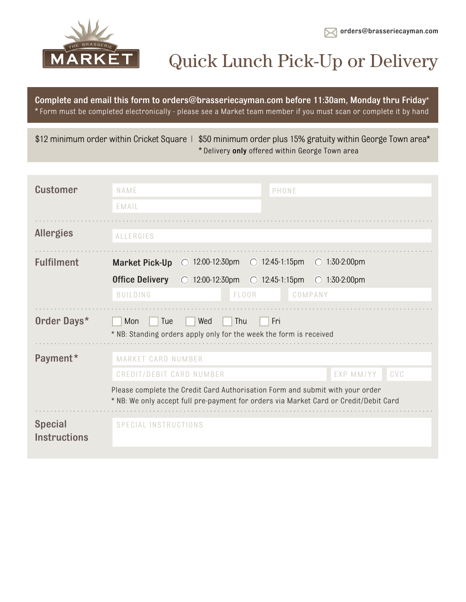



# Quick Lunch Pick-Up or Delivery

Complete and email this form to orders@brasseriecayman.com before 11:30am, Monday thru Friday\* \* Form must be completed electronically - please see a Market team member if you must scan or complete it by hand

\$12 minimum order within Cricket Square | \$50 minimum order plus 15% gratuity within George Town area\* \* Delivery only offered within George Town area

| <b>Customer</b>   | NAME                                                                             |                          | PHONE                   |                                                                                                                                                                        |     |
|-------------------|----------------------------------------------------------------------------------|--------------------------|-------------------------|------------------------------------------------------------------------------------------------------------------------------------------------------------------------|-----|
|                   | EMAIL                                                                            |                          |                         |                                                                                                                                                                        |     |
| <b>Allergies</b>  | <b>ALLERGIES</b>                                                                 |                          |                         |                                                                                                                                                                        |     |
|                   |                                                                                  |                          |                         |                                                                                                                                                                        |     |
| <b>Fulfilment</b> | <b>Market Pick-Up</b>                                                            | $\bigcirc$ 12:00-12:30pm | $\bigcirc$ 12:45-1:15pm | $\bigcirc$ 1:30-2:00pm                                                                                                                                                 |     |
|                   | <b>Office Delivery</b>                                                           | $\bigcirc$ 12:00-12:30pm | $\bigcirc$ 12:45-1:15pm | $\bigcirc$ 1:30-2:00pm                                                                                                                                                 |     |
|                   | <b>BUILDING</b>                                                                  | FLOOR                    |                         | COMPANY                                                                                                                                                                |     |
|                   |                                                                                  |                          |                         |                                                                                                                                                                        |     |
| Order Days*       | Tue<br>Mon<br>* NB: Standing orders apply only for the week the form is received | Wed<br>Thu               | Fri                     |                                                                                                                                                                        |     |
| Payment*          | MARKET CARD NUMBER                                                               |                          |                         |                                                                                                                                                                        |     |
|                   | CREDIT/DEBIT CARD NUMBER                                                         |                          |                         | EXP MM/YY                                                                                                                                                              | CVC |
|                   |                                                                                  |                          |                         | Please complete the Credit Card Authorisation Form and submit with your order<br>* NB: We only accept full pre-payment for orders via Market Card or Credit/Debit Card |     |
|                   |                                                                                  |                          |                         |                                                                                                                                                                        |     |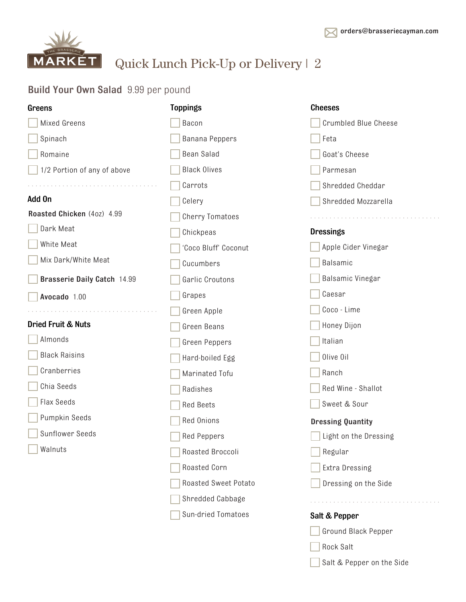Rock Salt

Salt & Pepper on the Side



Quick Lunch Pick-Up or Delivery | 2

#### Build Your Own Salad 9.99 per pound

| Greens                            | <b>Toppings</b>        | <b>Cheeses</b>              |
|-----------------------------------|------------------------|-----------------------------|
| Mixed Greens                      | Bacon                  | <b>Crumbled Blue Cheese</b> |
| Spinach                           | Banana Peppers         | Feta                        |
| Romaine                           | Bean Salad             | Goat's Cheese               |
| 1/2 Portion of any of above       | <b>Black Olives</b>    | Parmesan                    |
|                                   | Carrots                | Shredded Cheddar            |
| Add On                            | Celery                 | Shredded Mozzarella         |
| Roasted Chicken (40z) 4.99        | <b>Cherry Tomatoes</b> |                             |
| Dark Meat                         | Chickpeas              | <b>Dressings</b>            |
| White Meat                        | 'Coco Bluff' Coconut   | Apple Cider Vinegar         |
| Mix Dark/White Meat               | Cucumbers              | Balsamic                    |
| Brasserie Daily Catch 14.99       | Garlic Croutons        | Balsamic Vinegar            |
| Avocado 1.00                      | Grapes                 | Caesar                      |
| de la caractería de la caractería | Green Apple            | Coco - Lime                 |
| <b>Dried Fruit &amp; Nuts</b>     | Green Beans            | Honey Dijon                 |
| Almonds                           | Green Peppers          | Italian                     |
| <b>Black Raisins</b>              | Hard-boiled Egg        | Olive Oil                   |
| Cranberries                       | Marinated Tofu         | Ranch                       |
| Chia Seeds                        | Radishes               | Red Wine - Shallot          |
| <b>Flax Seeds</b>                 | <b>Red Beets</b>       | Sweet & Sour                |
| Pumpkin Seeds                     | Red Onions             | <b>Dressing Quantity</b>    |
| <b>Sunflower Seeds</b>            | <b>Red Peppers</b>     | Light on the Dressing       |
| Walnuts                           | Roasted Broccoli       | Regular                     |
|                                   | Roasted Corn           | Extra Dressing              |
|                                   | Roasted Sweet Potato   | Dressing on the Side        |
|                                   | Shredded Cabbage       |                             |
|                                   | Sun-dried Tomatoes     | Salt & Pepper               |
|                                   |                        | Ground Black Pepper         |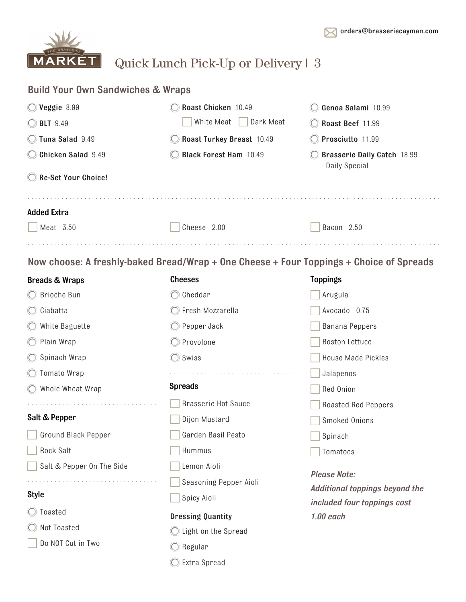

### Quick Lunch Pick-Up or Delivery | 3

| <b>Build Your Own Sandwiches &amp; Wraps</b> |                                                                                         |                                                                      |  |
|----------------------------------------------|-----------------------------------------------------------------------------------------|----------------------------------------------------------------------|--|
| $\bigcirc$ Veggie 8.99                       | Roast Chicken 10.49                                                                     | Genoa Salami 10.99                                                   |  |
| ◯ BLT 9.49                                   | White Meat<br>Dark Meat                                                                 | Roast Beef 11.99                                                     |  |
| C Tuna Salad 9.49                            | Roast Turkey Breast 10.49                                                               | Prosciutto 11.99                                                     |  |
| Chicken Salad 9.49                           | <b>Black Forest Ham 10.49</b>                                                           | Brasserie Daily Catch 18.99<br>- Daily Special                       |  |
| Re-Set Your Choice!                          |                                                                                         |                                                                      |  |
| <b>Added Extra</b>                           |                                                                                         |                                                                      |  |
| Meat 3.50                                    | Cheese 2.00                                                                             | Bacon 2.50                                                           |  |
|                                              | Now choose: A freshly-baked Bread/Wrap + One Cheese + Four Toppings + Choice of Spreads |                                                                      |  |
| <b>Breads &amp; Wraps</b>                    | <b>Cheeses</b>                                                                          | <b>Toppings</b>                                                      |  |
| ◯ Brioche Bun                                | $\bigcirc$ Cheddar                                                                      | Arugula                                                              |  |
| $\bigcirc$ Ciabatta                          | ◯ Fresh Mozzarella                                                                      | Avocado 0.75                                                         |  |
| $\bigcirc$ White Baguette                    | $\bigcirc$ Pepper Jack                                                                  | <b>Banana Peppers</b>                                                |  |
| ◯ Plain Wrap                                 | $\bigcirc$ Provolone                                                                    | <b>Boston Lettuce</b>                                                |  |
| ◯ Spinach Wrap                               | $\bigcirc$ Swiss                                                                        | <b>House Made Pickles</b>                                            |  |
| ◯ Tomato Wrap                                |                                                                                         | Jalapenos                                                            |  |
| ◯ Whole Wheat Wrap                           | <b>Spreads</b>                                                                          | Red Onion                                                            |  |
|                                              | <b>Brasserie Hot Sauce</b>                                                              | <b>Roasted Red Peppers</b>                                           |  |
| Salt & Pepper                                | Dijon Mustard                                                                           | Smoked Onions                                                        |  |
| Ground Black Pepper                          | Garden Basil Pesto                                                                      | Spinach                                                              |  |
| <b>Rock Salt</b>                             | Hummus                                                                                  | Tomatoes                                                             |  |
| Salt & Pepper On The Side                    | Lemon Aioli                                                                             |                                                                      |  |
|                                              | Seasoning Pepper Aioli                                                                  | <b>Please Note:</b>                                                  |  |
| <b>Style</b>                                 | Spicy Aioli                                                                             | <b>Additional toppings beyond the</b><br>included four toppings cost |  |
| Toasted                                      | <b>Dressing Quantity</b>                                                                | $1.00$ each                                                          |  |
| Not Toasted                                  | ◯ Light on the Spread                                                                   |                                                                      |  |

Do NOT Cut in Two

 $\bigcirc$  Regular

Extra Spread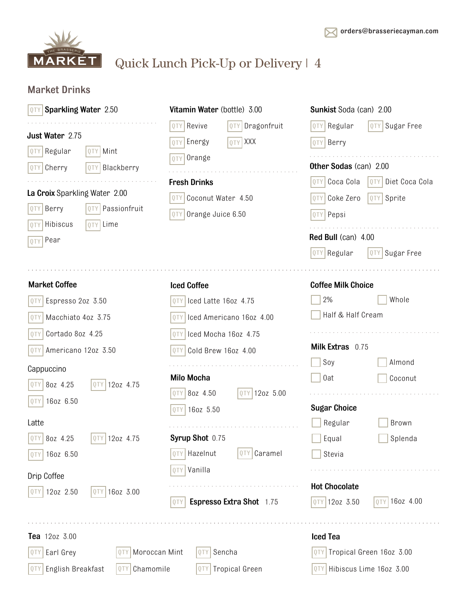

## Quick Lunch Pick-Up or Delivery | 4

### Market Drinks

| <b>Sparkling Water 2.50</b>                                                                                                                                                                                                                | Vitamin Water (bottle) 3.00                                                                                                                                                                                                    | <b>Sunkist Soda (can) 2.00</b>                                                                                                                                                                                                                            |
|--------------------------------------------------------------------------------------------------------------------------------------------------------------------------------------------------------------------------------------------|--------------------------------------------------------------------------------------------------------------------------------------------------------------------------------------------------------------------------------|-----------------------------------------------------------------------------------------------------------------------------------------------------------------------------------------------------------------------------------------------------------|
| Just Water 2.75<br>QTY Regular<br>QTY Mint<br>QTY Cherry<br>QTY Blackberry<br>La Croix Sparkling Water 2.00<br>Berry<br>Passionfruit<br>QTY<br>QTY Lime<br>Hibiscus<br>QTY<br>Pear                                                         | Revive<br>Dragonfruit<br>QTY<br>0TY<br>QTY XXX<br>Energy<br>0TY<br>Orange<br>0TY<br><b>Fresh Drinks</b><br>Coconut Water 4.50<br>QTY<br>Orange Juice 6.50<br>QTY                                                               | Sugar Free<br>Regular<br>0TY<br>QTY<br>Berry<br>QTY  <br><b>Other Sodas (can) 2.00</b><br>Coca Cola<br>Diet Coca Cola<br> QTY <br>QTY<br>Sprite<br>Coke Zero<br>QTY<br>QTY<br>QTY Pepsi<br>Red Bull (can) 4.00<br>QTY Regular<br>Sugar Free<br><b>QTY</b> |
| <b>Market Coffee</b>                                                                                                                                                                                                                       | <b>Iced Coffee</b>                                                                                                                                                                                                             | <b>Coffee Milk Choice</b>                                                                                                                                                                                                                                 |
| Espresso 2oz 3.50<br><b>QTY</b><br>Macchiato 4oz 3.75<br>QTY<br>Cortado 8oz 4.25<br>QTY<br>Americano 12oz 3.50<br>QTY<br>Cappuccino<br>8oz 4.25<br>12oz 4.75<br>QTY<br>QTY  <br>QTY 160Z 6.50<br>Latte<br>QTY 80Z 4.25<br>12oz 4.75<br>QTY | Iced Latte 16oz 4.75<br>Iced Americano 16oz 4.00<br>0TY<br>Iced Mocha 16oz 4.75<br>QTY<br>Cold Brew 16oz 4.00<br>0TY<br><b>Milo Mocha</b><br>8oz 4.50<br>12oz 5.00<br>0TY<br><b>QTY</b><br>16oz 5.50<br>0TY<br>Syrup Shot 0.75 | 2%<br>Whole<br>Half & Half Cream<br>Milk Extras 0.75<br>Soy<br>Almond<br>0at<br>Coconut<br><b>Sugar Choice</b><br>Regular<br>Brown<br>Equal<br>Splenda                                                                                                    |
| 16oz 6.50<br>Drip Coffee<br>12oz 2.50<br>16oz 3.00<br>QTY                                                                                                                                                                                  | Caramel<br>Hazelnut<br>QTY<br>0TY<br>Vanilla<br>0TY<br>Espresso Extra Shot 1.75<br>QTY                                                                                                                                         | Stevia<br><b>Hot Chocolate</b><br>QTY 160Z 4.00<br>QTY 120Z 3.50                                                                                                                                                                                          |
| Tea 120z 3.00<br>Earl Grey<br>Moroccan Mint<br>Q T Y<br>QI)<br>Chamomile<br>English Breakfast<br>QTY<br>QTY                                                                                                                                | Sencha<br><b>UTY</b><br><b>Tropical Green</b><br><b>QTY</b>                                                                                                                                                                    | <b>Iced Tea</b><br>Tropical Green 16oz 3.00<br>QTY.<br>QTY Hibiscus Lime 16oz 3.00                                                                                                                                                                        |